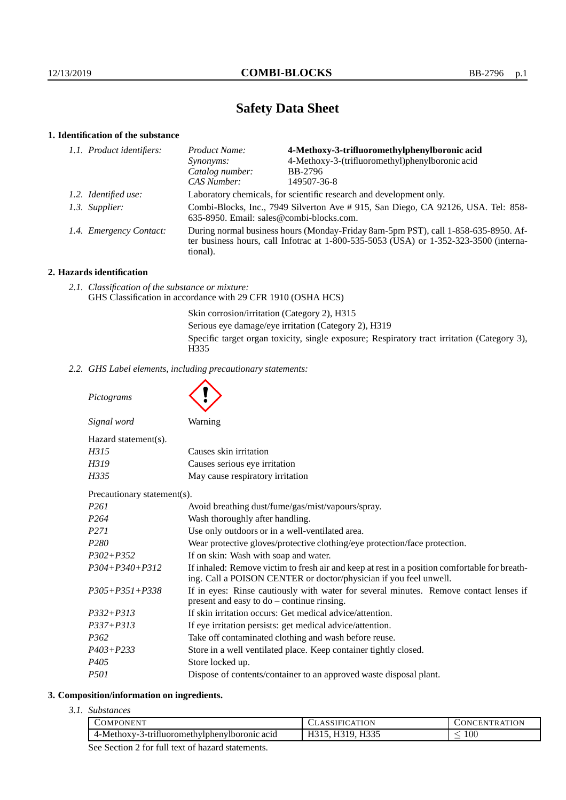# **Safety Data Sheet**

## **1. Identification of the substance**

| 1.1. Product identifiers: | Product Name:                                                                                                                                                                               | 4-Methoxy-3-trifluoromethylphenylboronic acid   |
|---------------------------|---------------------------------------------------------------------------------------------------------------------------------------------------------------------------------------------|-------------------------------------------------|
|                           | Synonyms:                                                                                                                                                                                   | 4-Methoxy-3-(trifluoromethyl)phenylboronic acid |
|                           | Catalog number:                                                                                                                                                                             | BB-2796                                         |
|                           | CAS Number:                                                                                                                                                                                 | 149507-36-8                                     |
| 1.2. Identified use:      | Laboratory chemicals, for scientific research and development only.                                                                                                                         |                                                 |
| 1.3. Supplier:            | Combi-Blocks, Inc., 7949 Silverton Ave # 915, San Diego, CA 92126, USA. Tel: 858-<br>635-8950. Email: sales@combi-blocks.com.                                                               |                                                 |
| 1.4. Emergency Contact:   | During normal business hours (Monday-Friday 8am-5pm PST), call 1-858-635-8950. Af-<br>ter business hours, call Infotrac at $1-800-535-5053$ (USA) or $1-352-323-3500$ (interna-<br>tional). |                                                 |

## **2. Hazards identification**

*2.1. Classification of the substance or mixture:* GHS Classification in accordance with 29 CFR 1910 (OSHA HCS)

> Skin corrosion/irritation (Category 2), H315 Serious eye damage/eye irritation (Category 2), H319 Specific target organ toxicity, single exposure; Respiratory tract irritation (Category 3), H335

*2.2. GHS Label elements, including precautionary statements:*

*Pictograms*

|                                                                     | Signal word                 | Warning                                                                                                                                                            |
|---------------------------------------------------------------------|-----------------------------|--------------------------------------------------------------------------------------------------------------------------------------------------------------------|
|                                                                     | Hazard statement(s).        |                                                                                                                                                                    |
|                                                                     | H315                        | Causes skin irritation                                                                                                                                             |
|                                                                     | H319                        | Causes serious eye irritation                                                                                                                                      |
|                                                                     | H335                        | May cause respiratory irritation                                                                                                                                   |
|                                                                     | Precautionary statement(s). |                                                                                                                                                                    |
|                                                                     | P261                        | Avoid breathing dust/fume/gas/mist/vapours/spray.                                                                                                                  |
|                                                                     | P <sub>264</sub>            | Wash thoroughly after handling.                                                                                                                                    |
| P <sub>271</sub><br>Use only outdoors or in a well-ventilated area. |                             |                                                                                                                                                                    |
|                                                                     | P <sub>280</sub>            | Wear protective gloves/protective clothing/eye protection/face protection.                                                                                         |
|                                                                     | $P302 + P352$               | If on skin: Wash with soap and water.                                                                                                                              |
|                                                                     | $P304 + P340 + P312$        | If inhaled: Remove victim to fresh air and keep at rest in a position comfortable for breath-<br>ing. Call a POISON CENTER or doctor/physician if you feel unwell. |
|                                                                     | $P305 + P351 + P338$        | If in eyes: Rinse cautiously with water for several minutes. Remove contact lenses if<br>present and easy to $do$ – continue rinsing.                              |
|                                                                     | $P332 + P313$               | If skin irritation occurs: Get medical advice/attention.                                                                                                           |

- *P337+P313* If eye irritation persists: get medical advice/attention.
- *P362* Take off contaminated clothing and wash before reuse.
- *P403+P233* Store in a well ventilated place. Keep container tightly closed.
- *P405* Store locked up.
- *P501* Dispose of contents/container to an approved waste disposal plant.

#### **3. Composition/information on ingredients.**

*3.1. Substances*

| COMPONENT                                                    | <b>ATION</b><br>I H I ( | 'ENTR ATION<br>ገNር                  |
|--------------------------------------------------------------|-------------------------|-------------------------------------|
| $\sim$<br>4-Methoxy-3<br>3-trifluoromethylphenylboromic acid | H335<br>31Q)            | $100\,$<br>$\overline{\phantom{a}}$ |
| $\sim$ $\sim$<br>$-$<br>.                                    |                         |                                     |

See Section 2 for full text of hazard statements.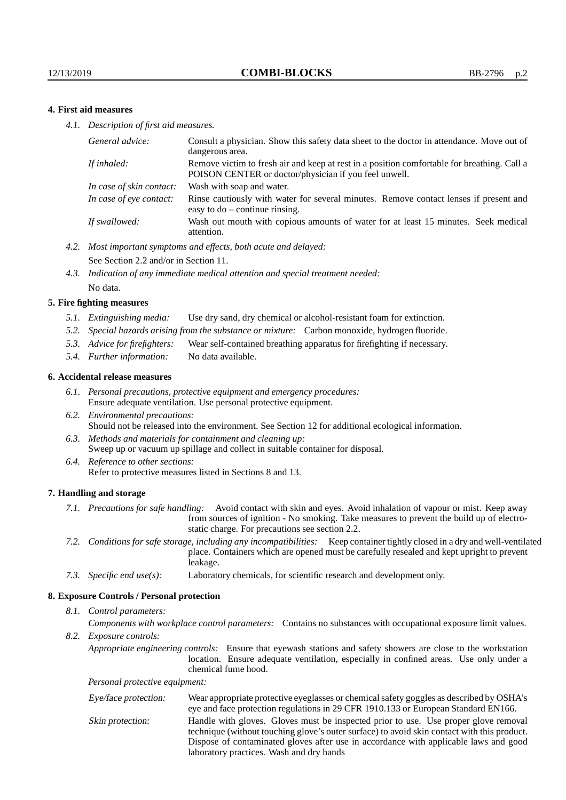## **4. First aid measures**

*4.1. Description of first aid measures.*

| General advice:          | Consult a physician. Show this safety data sheet to the doctor in attendance. Move out of<br>dangerous area.                                         |
|--------------------------|------------------------------------------------------------------------------------------------------------------------------------------------------|
| If inhaled:              | Remove victim to fresh air and keep at rest in a position comfortable for breathing. Call a<br>POISON CENTER or doctor/physician if you feel unwell. |
| In case of skin contact: | Wash with soap and water.                                                                                                                            |
| In case of eye contact:  | Rinse cautiously with water for several minutes. Remove contact lenses if present and<br>easy to $do$ – continue rinsing.                            |
| If swallowed:            | Wash out mouth with copious amounts of water for at least 15 minutes. Seek medical<br>attention.                                                     |

- *4.2. Most important symptoms and effects, both acute and delayed:* See Section 2.2 and/or in Section 11.
- *4.3. Indication of any immediate medical attention and special treatment needed:* No data.

#### **5. Fire fighting measures**

- *5.1. Extinguishing media:* Use dry sand, dry chemical or alcohol-resistant foam for extinction.
- *5.2. Special hazards arising from the substance or mixture:* Carbon monoxide, hydrogen fluoride.
- *5.3. Advice for firefighters:* Wear self-contained breathing apparatus for firefighting if necessary.
- *5.4. Further information:* No data available.

#### **6. Accidental release measures**

- *6.1. Personal precautions, protective equipment and emergency procedures:* Ensure adequate ventilation. Use personal protective equipment.
- *6.2. Environmental precautions:* Should not be released into the environment. See Section 12 for additional ecological information.
- *6.3. Methods and materials for containment and cleaning up:* Sweep up or vacuum up spillage and collect in suitable container for disposal.
- *6.4. Reference to other sections:* Refer to protective measures listed in Sections 8 and 13.

#### **7. Handling and storage**

- *7.1. Precautions for safe handling:* Avoid contact with skin and eyes. Avoid inhalation of vapour or mist. Keep away from sources of ignition - No smoking. Take measures to prevent the build up of electrostatic charge. For precautions see section 2.2.
- *7.2. Conditions for safe storage, including any incompatibilities:* Keep container tightly closed in a dry and well-ventilated place. Containers which are opened must be carefully resealed and kept upright to prevent leakage.
- *7.3. Specific end use(s):* Laboratory chemicals, for scientific research and development only.

#### **8. Exposure Controls / Personal protection**

*8.1. Control parameters:*

*Components with workplace control parameters:* Contains no substances with occupational exposure limit values.

*8.2. Exposure controls:*

*Appropriate engineering controls:* Ensure that eyewash stations and safety showers are close to the workstation location. Ensure adequate ventilation, especially in confined areas. Use only under a chemical fume hood.

*Personal protective equipment:*

| Eye/face protection: | Wear appropriate protective eyeglasses or chemical safety goggles as described by OSHA's<br>eye and face protection regulations in 29 CFR 1910.133 or European Standard EN166.                                                                                                                                         |
|----------------------|------------------------------------------------------------------------------------------------------------------------------------------------------------------------------------------------------------------------------------------------------------------------------------------------------------------------|
| Skin protection:     | Handle with gloves. Gloves must be inspected prior to use. Use proper glove removal<br>technique (without touching glove's outer surface) to avoid skin contact with this product.<br>Dispose of contaminated gloves after use in accordance with applicable laws and good<br>laboratory practices. Wash and dry hands |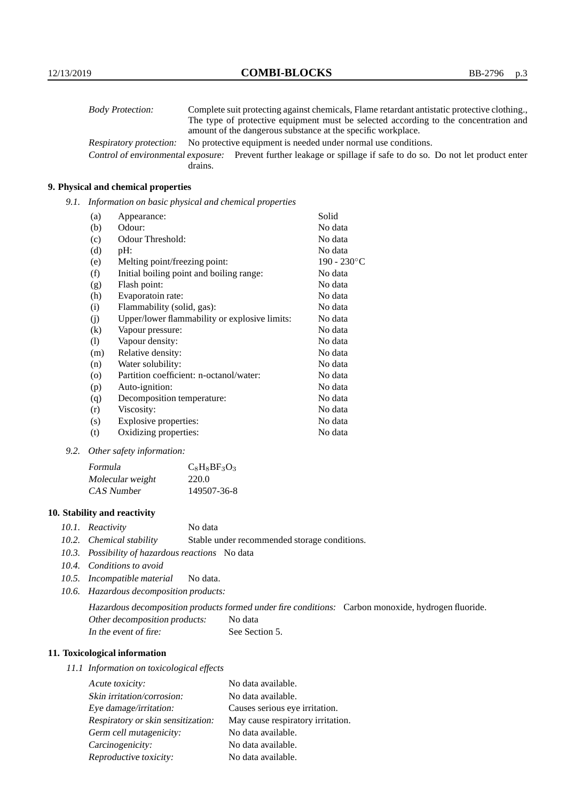| <b>Body Protection:</b> |         | Complete suit protecting against chemicals, Flame retardant antistatic protective clothing.                       |
|-------------------------|---------|-------------------------------------------------------------------------------------------------------------------|
|                         |         | The type of protective equipment must be selected according to the concentration and                              |
|                         |         | amount of the dangerous substance at the specific workplace.                                                      |
| Respiratory protection: |         | No protective equipment is needed under normal use conditions.                                                    |
|                         |         | Control of environmental exposure: Prevent further leakage or spillage if safe to do so. Do not let product enter |
|                         | drains. |                                                                                                                   |

## **9. Physical and chemical properties**

*9.1. Information on basic physical and chemical properties*

| (a)     | Appearance:                                   | Solid          |
|---------|-----------------------------------------------|----------------|
| (b)     | Odour:                                        | No data        |
| (c)     | Odour Threshold:                              | No data        |
| (d)     | pH:                                           | No data        |
| (e)     | Melting point/freezing point:                 | $190 - 230$ °C |
| (f)     | Initial boiling point and boiling range:      | No data        |
| (g)     | Flash point:                                  | No data        |
| (h)     | Evaporatoin rate:                             | No data        |
| (i)     | Flammability (solid, gas):                    | No data        |
| (j)     | Upper/lower flammability or explosive limits: | No data        |
| (k)     | Vapour pressure:                              | No data        |
| (1)     | Vapour density:                               | No data        |
| (m)     | Relative density:                             | No data        |
| (n)     | Water solubility:                             | No data        |
| $\circ$ | Partition coefficient: n-octanol/water:       | No data        |
| (p)     | Auto-ignition:                                | No data        |
| (q)     | Decomposition temperature:                    | No data        |
| (r)     | Viscosity:                                    | No data        |
| (s)     | Explosive properties:                         | No data        |
| (t)     | Oxidizing properties:                         | No data        |

*9.2. Other safety information:*

| Formula          | $C_8$ H <sub>8</sub> BF <sub>3</sub> O <sub>3</sub> |
|------------------|-----------------------------------------------------|
| Molecular weight | 220.0                                               |
| CAS Number       | 149507-36-8                                         |

## **10. Stability and reactivity**

- *10.1. Reactivity* No data
- *10.2. Chemical stability* Stable under recommended storage conditions.
- *10.3. Possibility of hazardous reactions* No data
- *10.4. Conditions to avoid*
- *10.5. Incompatible material* No data.
- *10.6. Hazardous decomposition products:*

Hazardous decomposition products formed under fire conditions: Carbon monoxide, hydrogen fluoride. Other decomposition products: No data In the event of fire: See Section 5.

## **11. Toxicological information**

*11.1 Information on toxicological effects*

| Acute toxicity:                    | No data available.                |
|------------------------------------|-----------------------------------|
| Skin irritation/corrosion:         | No data available.                |
| Eye damage/irritation:             | Causes serious eye irritation.    |
| Respiratory or skin sensitization: | May cause respiratory irritation. |
| Germ cell mutagenicity:            | No data available.                |
| Carcinogenicity:                   | No data available.                |
| Reproductive toxicity:             | No data available.                |